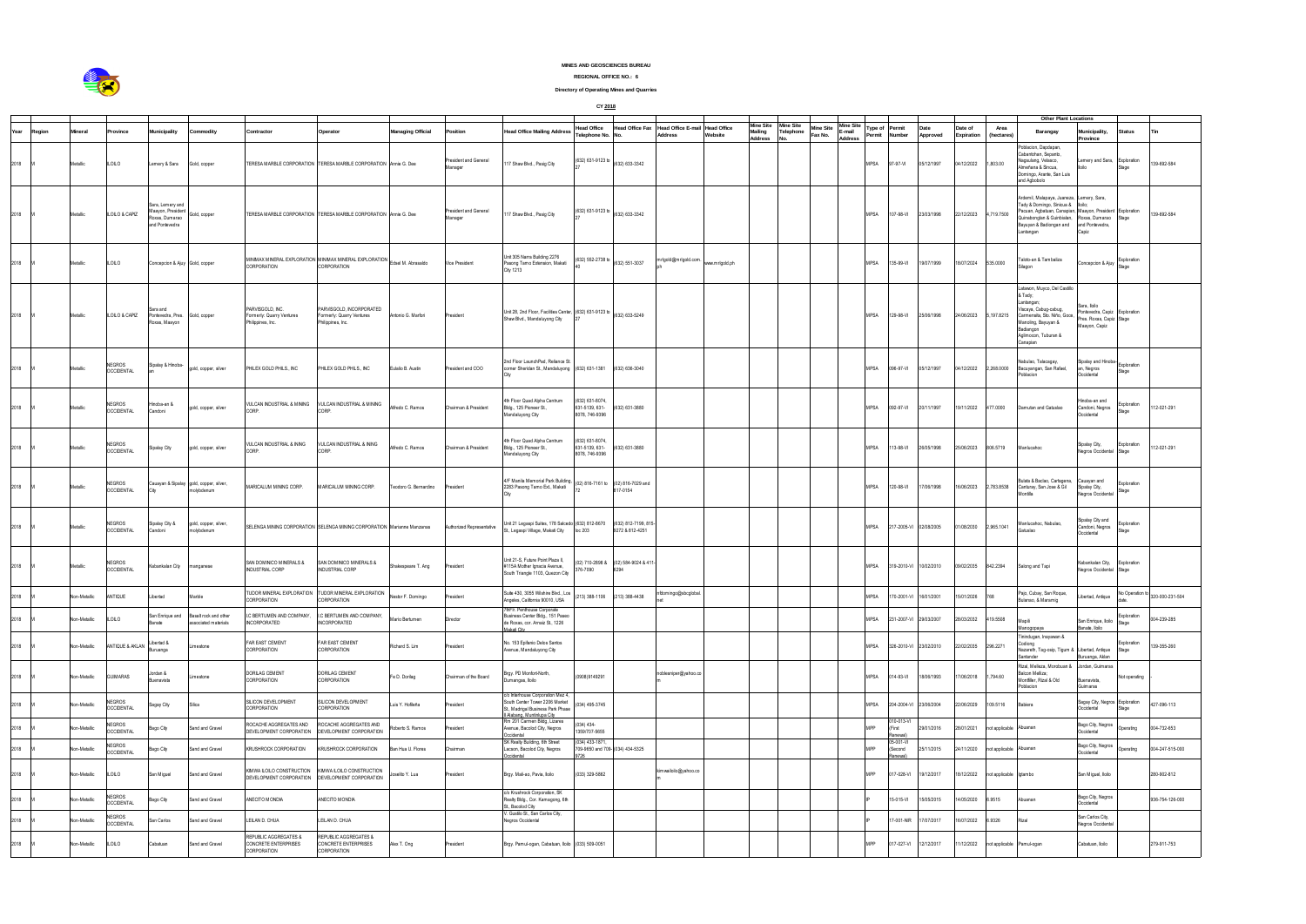|                    |                |                                    |                                                                           |                                                       |                                                                                |                                                                                         |                          |                                  |                                                                                                                   |                                                     |                                                |                                                                             |                                                         |                         |                             |                                              |                |                                  |                        |                       |                          | <b>Other Plant Locations</b>                                                                                                                                                           |                                                                                                                       |                 |
|--------------------|----------------|------------------------------------|---------------------------------------------------------------------------|-------------------------------------------------------|--------------------------------------------------------------------------------|-----------------------------------------------------------------------------------------|--------------------------|----------------------------------|-------------------------------------------------------------------------------------------------------------------|-----------------------------------------------------|------------------------------------------------|-----------------------------------------------------------------------------|---------------------------------------------------------|-------------------------|-----------------------------|----------------------------------------------|----------------|----------------------------------|------------------------|-----------------------|--------------------------|----------------------------------------------------------------------------------------------------------------------------------------------------------------------------------------|-----------------------------------------------------------------------------------------------------------------------|-----------------|
| Year<br>Region     | <b>Mineral</b> | Province                           | Municipality                                                              | Commodity                                             | Contractor                                                                     | Operator                                                                                | <b>Managing Official</b> | <b>Position</b>                  | Head Office Mailing Address Trees States No. No.                                                                  | lead Office                                         |                                                | Head Office Fax Head Office E-mail Head Office<br><b>Address</b><br>Website | Mine Site Mine Site<br><b>Mailing</b><br><b>Address</b> | <b>Telephone</b><br>No. | <b>Mine Site</b><br>Fax No. | <b>Mine Site</b><br>E-mail<br><b>Address</b> | Type of Permit | Permit Number                    | Date<br>Approved       | Date of<br>Expiration | Area<br>(hectares)       | <b>Barangay</b>                                                                                                                                                                        | Municipality,<br><b>Status</b><br>Province                                                                            | Tin             |
| 2018<br>IVI.       | Metallic       | <b>ILOILO</b>                      | Lemery & Sara                                                             | Gold, copper                                          |                                                                                | TERESA MARBLE CORPORATION TERESA MARBLE CORPORATION Annie G. Dee                        |                          | President and General<br>Manager | 17 Shaw Blvd., Pasig City                                                                                         | $ (632)$ 631-9123 to $ (632)$ 633-3342              |                                                |                                                                             |                                                         |                         |                             |                                              | <b>MPSA</b>    | 97-97-VI                         | 05/12/1997             | 04/12/2022            | 1,803.00                 | Poblacion, Dapdapan<br>Cabantohan, Sepanto,<br>Nagsulang, Velasco,<br>Almeñana & Sincua,<br>Domingo, Arante, San Luis<br>and Agbobolo                                                  | Lemery and Sara, Exploration<br>lloilo<br>Stage                                                                       | 139-692-584     |
| 2018<br>IVI        | Metallic       | ILOILO & CAPIZ                     | Sara, Lemery and<br>Maayon, President<br>Roxas, Dumarao<br>and Pontevedra | Gold, copper                                          |                                                                                | TERESA MARBLE CORPORATION TERESA MARBLE CORPORATION Annie G. Dee                        |                          | President and General<br>Manager | 17 Shaw Blvd., Pasig City                                                                                         | $ (632)$ 631-9123 to $ (632)$ 633-3342              |                                                |                                                                             |                                                         |                         |                             |                                              | <b>MPSA</b>    | 107-98-VI                        | 23/03/1998             | 22/12/2023            | 4,719.7500               | Ardemil, Malapaya, Juaneza, Lemery, Sara,<br>Tady & Domingo, Sinicua & Iloilo;<br>Bayuyan & Badiongan and and Pontevedra,<br>Lantangan                                                 | Pacuan, Agbatuan, Canapian, Maayon, President Exploration<br>Quinabonglan & Guinbialan, Roxas, Dumarao Stage<br>Capiz | 139-692-584     |
| 2018<br>IVI.       | Metallic       | <b>ILOILO</b>                      | Concepcion & Ajuy Gold, copper                                            |                                                       | CORPORATION                                                                    | MINMAX MINERAL EXPLORATION MINMAX MINERAL EXPLORATION Edsel M. Abrasaldo<br>CORPORATION |                          | Vice President                   | Unit 305 Narra Building 2276<br>Pasong Tamo Extension, Makati<br><b>City 1213</b>                                 |                                                     | $(632) 552 - 2738$ to $(632) 551 - 3037$       | mrlgold@mrlgold.com. www.mrlgold.ph                                         |                                                         |                         |                             |                                              | MPSA           | 135-99-VI                        | 19/07/1999             | 18/07/2024            | 535.0000                 | Taloto-an & Tambaliza<br>Silagon                                                                                                                                                       | Concepcion & Ajuy Exploration                                                                                         |                 |
| 2018<br><b>VI</b>  | Metallic       | <b>ILOILO &amp; CAPIZ</b>          | Sara and<br>Pontevedra, Pres. Gold, copper<br>Roxas, Maayon               |                                                       | PARVISGOLD, INC.<br>Formerly: Quarry Ventures<br>Philippines, Inc.             | PARVISGOLD, INCORPORATED<br>Formerly: Quarry Ventures<br>Philippines, Inc.              | Antonio G. Marfori       | President                        | Unit 28, 2nd Floor, Facilities Center, (632) 631-9123 to (632) 633-5249<br>Shaw Blvd., Mandaluyong City           |                                                     |                                                |                                                                             |                                                         |                         |                             |                                              | <b>MPSA</b>    | 129-98-VI                        | 25/06/1998             | 24/06/2023            | 5,197.8215               | Latawon, Muyco, Del Castillo<br>& Tady;<br>Lantangan;<br>Viscaya, Cabug-cabug,<br>Carmensita, Sto. Niño, Goce,<br>Manoling, Bayuyan &<br>Badiangon<br>Aglimocon, Tuburan &<br>Canapian | Sara, Iloilo<br>Pontevedra, Capiz Exploration<br>Pres. Roxas, Capiz Stage<br>Maayon, Capiz                            |                 |
| 2018<br>IVI.       | Metallic       | <b>NEGROS</b><br><b>OCCIDENTAL</b> | Sipalay & Hinoba-                                                         | gold, copper, silver                                  | PHILEX GOLD PHILS., INC                                                        | PHILEX GOLD PHILS., INC                                                                 | Eulalio B. Austin        | President and COO                | 2nd Floor LaunchPad, Reliance St.<br>corner Sheridan St, Mandaluyong (632) 631-1381 (632) 636-3040                |                                                     |                                                |                                                                             |                                                         |                         |                             |                                              | <b>MPSA</b>    | 096-97-VI                        | 05/12/1997             | 04/12/2022 2,268.0000 |                          | Nabulao, Talacagay,<br>Bacuyangan, San Rafael,<br>Poblacion                                                                                                                            | Sipalay and Hinoba-Exploration<br>an, Negros<br>Stage<br>Occidental                                                   |                 |
| 2018<br>IVI.       | Metallic       | <b>NEGROS</b><br><b>OCCIDENTAL</b> | Hinoba-an &<br>Candoni                                                    | gold, copper, silver                                  | CORP.                                                                          | VULCAN INDUSTRIAL & MINING VULCAN INDUSTRIAL & MINING<br>CORP.                          | Alfredo C. Ramos         | Chairman & President             | 4th Floor Quad Alpha Centrum<br>Bldg., 125 Pioneer St.,<br>Mandaluyong City                                       | (632) 631-8074,<br>631-5139, 631-<br>8078, 746-9396 | (632) 631-3880                                 |                                                                             |                                                         |                         |                             |                                              | <b>MPSA</b>    | 092-97-VI                        | 20/11/1997             | 19/11/2022            | 477.0000                 | Damutan and Gatuslao                                                                                                                                                                   | Hinoba-an and<br>Exploration<br>Candoni, Negros<br>Stage<br>Occidental                                                | 112-021-291     |
| 2018<br><b>IVI</b> | Metallic       | <b>NEGROS</b><br><b>OCCIDENTAL</b> | Sipalay City                                                              | gold, copper, silver                                  | VULCAN INDUSTRIAL & INING<br>CORP.                                             | VULCAN INDUSTRIAL & INING<br>CORP.                                                      | Alfredo C. Ramos         | Chairman & President             | 4th Floor Quad Alpha Centrum<br>Bldg., 125 Pioneer St.,<br>Mandaluyong City                                       | (632) 631-8074,<br>631-5139, 631-<br>8078, 746-9396 | (632) 631-3880                                 |                                                                             |                                                         |                         |                             |                                              | <b>MPSA</b>    | 113-98-VI                        | 26/05/1998             | 25/06/2023            | 806.5719                 | Manlucahoc                                                                                                                                                                             | Sipalay City,<br>Exploration<br>Negros Occidental Stage                                                               | 112-021-291     |
| 2018<br>IVI.       | Metallic       | <b>NEGROS</b><br><b>OCCIDENTAL</b> | City                                                                      | Cauayan & Sipalay gold, copper, silver,<br>molybdenum | MARICALUM MINING CORP.                                                         | MARICALUM MINING CORP.                                                                  | Teodoro G. Bernardino    | President                        | 4/F Manila Memorial Park Building,<br>2283 Pasong Tamo Ext., Makati                                               |                                                     | (02) 816-7161 to (02) 816-7029 and<br>817-0154 |                                                                             |                                                         |                         |                             |                                              | MPSA           | 120-98-VI                        | 17/06/1998             | 16/06/2023 2,783.8538 |                          | Bulata & Baclao, Cartagena,<br>Canturay, San Jose & Gil<br>Montilla                                                                                                                    | Cauayan and<br>Exploration<br>Sipalay City,<br>Negros Occidental Stage                                                |                 |
| 2018<br>IVI.       | Metallic       | <b>NEGROS</b><br><b>OCCIDENTAL</b> | Sipalay City &<br>Candoni                                                 | gold, copper, silver,<br>molybdenum                   |                                                                                | SELENGA MINING CORPORATION SELENGA MINING CORPORATION Marianne Manzanas                 |                          | Authorized Representative        | Unit 21 Legaspi Suites, 178 Salcedo (632) 812-8670<br>St., Legaspi Village, Makati City                           | loc 203                                             | (632) 812-7199, 815-<br>9272 & 812-4251        |                                                                             |                                                         |                         |                             |                                              | MPSA           |                                  | 217-2005-VI 02/08/2005 | 01/08/2030 2,965.1041 |                          | Manlucahoc, Nabulao,<br>Gatuslao                                                                                                                                                       | Sipalay City and<br>Exploration<br>Candoni, Negros<br>Stage<br>Occidental                                             |                 |
| 2018<br><b>VI</b>  | Metallic       | <b>NEGROS</b><br><b>OCCIDENTAL</b> | Kabankalan City   manganese                                               |                                                       | SAN DOMINICO MINERALS &<br>INDUSTRIAL CORP                                     | SAN DOMINICO MINERALS &<br>INDUSTRIAL CORP                                              | Shakespeare T. Ang       | President                        | Unit 21-S, Future Point Plaza II,<br>#115A Mother Ignacia Avenue,<br>South Triangle 1103, Quezon City             | 376-7090                                            | (02) 710-2898 & (02) 584-9024 & 411-<br>6294   |                                                                             |                                                         |                         |                             |                                              | MPSA           |                                  | 319-2010-VI 10/02/2010 | 09/02/2035            | 842.2394                 | Salong and Tapi                                                                                                                                                                        | Kabankalan City, Exploration<br>Negros Occidental Stage                                                               |                 |
| 2018<br><b>VI</b>  | Non-Metallic   | ANTIQUE                            | Libertad                                                                  | Marble                                                | CORPORATION                                                                    | TUDOR MINERAL EXPLORATION TUDOR MINERAL EXPLORATION<br>CORPORATION                      | Nestor F. Domingo        | President                        | Suite 430, 3055 Wilshire Blvd., Los<br>Angeles, California 90010, USA                                             |                                                     | (213) 388-1106 (213) 388-4438                  | nfdomingo@sbcglobal.                                                        |                                                         |                         |                             |                                              | <b>MPSA</b>    |                                  | 170-2001-VI 16/01/2001 | 15/01/2026            | 768                      | Pajo, Cubay, San Roque,<br>Bulanao, & Maramig                                                                                                                                          | Libertad, Antique $\begin{vmatrix} No & \text{Operation to} \\ da \text{te.} \end{vmatrix}$ 320-000-231-504           |                 |
| 2018               | Non-Metallic   | <b>ILOILO</b>                      | San Enrique and<br><b>Banate</b>                                          | Basalt rock and other<br>associated materials         | I.C BERTUMEN AND COMPANY,<br><b>INCORPORATED</b>                               | I.C BERTUMEN AND COMPANY<br><b>INCORPORATED</b>                                         | Mario Bertumen           | Director                         | 7thFir. Penthouse Corporate<br>Business Center Bldg., 151 Paseo<br>de Roxas, cor. Arnaiz St., 1226<br>Aakati City |                                                     |                                                |                                                                             |                                                         |                         |                             |                                              | <b>MPSA</b>    |                                  | 231-2007-VI 29/03/2007 | 28/03/2032            | 419.5508                 | Mapili<br>Manogopaya                                                                                                                                                                   | Exploration<br>San Enrique, Iloilo<br>Stage<br>Banate, Iloilo                                                         | 004-239-285     |
| 2018               | Non-Metallic   | ANTIQUE & AKLAN                    | Libertad &<br>Buruanga                                                    | Limestone                                             | FAR EAST CEMENT<br>CORPORATION                                                 | <b>FAR EAST CEMENT</b><br>CORPORATION                                                   | Richard S. Lim           | President                        | No. 153 Epifanio Delos Santos<br>Avenue, Mandaluyong City                                                         |                                                     |                                                |                                                                             |                                                         |                         |                             |                                              | <b>MPSA</b>    |                                  | 326-2010-VI 23/02/2010 | 22/02/2035            | 296.2271                 | Tinindugan, Inayawan &<br>Codiong<br>Nazareth, Tag-osip, Tigum & Libertad, Antique<br>Santander                                                                                        | Exploration<br>Stage<br>Buruanga, Aklan                                                                               | 139-355-260     |
| 2018               | Non-Metallic   | <b>GUIMARAS</b>                    | Jordan &<br>Buenavista                                                    | Limestone                                             | DORILAG CEMENT<br>CORPORATION                                                  | DORILAG CEMENT<br>CORPORATION                                                           | Fe D. Dorilag            | Chairman of the Board            | Brgy. PD Monfort-North,<br>Dumangas, lloilo                                                                       | (0908)9149291                                       |                                                | noblesniper@yahoo.co                                                        |                                                         |                         |                             |                                              | MPSA           | 014-93-VI                        | 18/06/1993             | 17/06/2018            | 1,794.60                 | Rizal, Melleza, Morobuan &<br>Balcon Melliza;<br>Montfiller, Rizal & Old<br>Poblacion                                                                                                  | Jordan, Guimaras<br>Not operating<br>Buenavista,<br>Guimaras                                                          |                 |
| 2018               | Non-Metallic   | NEGROS<br><b>OCCIDENTAL</b>        | Sagay City                                                                | Silica                                                | SILICON DEVELOPMENT<br>CORPORATION                                             | SILICON DEVELOPMENT<br>CORPORATION                                                      | Luis Y. Hofileña         | President                        | /o Interhouse Corporation Mez 4,<br>South Center Tower 2206 Market<br>St., Madrigal Business Park Phase           | 034) 495-3745                                       |                                                |                                                                             |                                                         |                         |                             |                                              | MPSA           |                                  | 204-2004-VI 23/06/2004 | 22/06/2029            | 109.5116                 | Babiera                                                                                                                                                                                | Sagay City, Negros Exploration<br>Occidental                                                                          | 427-096-113     |
| 2018               | Non-Metallic   | NEGROS<br><b>OCCIDENTAL</b>        | Bago City                                                                 | Sand and Gravel                                       | ROCACHE AGGREGATES AND<br>DEVELOPMENT CORPORATION                              | ROCACHE AGGREGATES AND<br>DEVELOPMENT CORPORATION                                       | Roberto S. Ramos         | President                        | Il Alabang, Muntinlupa City<br>Rm 201 Carmen Bildg, Lizares<br>Avenue, Bacolod City, Negros<br>ccidental          | $(034)$ 434-<br>1359/707-5655                       |                                                |                                                                             |                                                         |                         |                             |                                              | <b>MPF</b>     | 010-013-VI<br>(First<br>Renewal) | 29/01/2016             | 28/01/2021            | not applicable Abuanan   |                                                                                                                                                                                        | Bago City, Negros<br>Operating<br>Occidental                                                                          | 004-732-653     |
| 2018               | Non-Metallic   | <b>NEGROS</b><br><b>OCCIDENTAL</b> | Bago City                                                                 | Sand and Gravel                                       | KRUSHROCK CORPORATION                                                          | KRUSHROCK CORPORATION                                                                   | Ban Hua U. Flores        | Chairman                         | SK Realty Building, 6th Street<br>Lacson, Bacolod City, Negros<br>Occidental                                      | (034) 433-1871,<br>9726                             | 709-9650 and 709-(034) 434-5325                |                                                                             |                                                         |                         |                             |                                              | MPF            | 05-001-VI<br>(Second<br>Renewal) | 25/11/2015             | 24/11/2020            | not applicable Abuanan   |                                                                                                                                                                                        | Bago City, Negros<br>Operating<br>Occidental                                                                          | 004-247-515-000 |
| 2018               | Non-Metallic   | <b>ILOILO</b>                      | San Miguel                                                                | Sand and Gravel                                       | DEVELOPMENT CORPORATION                                                        | KIMWA ILOILO CONSTRUCTION KIMWA ILOILO CONSTRUCTION<br>DEVELOPMENT CORPORATION          | Joselito Y. Lua          | President                        | Brgy. Mali-ao, Pavia, Iloilo                                                                                      | (033) 329-5862                                      |                                                | kimwailoilo@yahoo.co                                                        |                                                         |                         |                             |                                              | MPP            | 017-028-VI                       | 19/12/2017             | 18/12/2022            | not applicable   Igtambo |                                                                                                                                                                                        | San Miguel, Iloilo                                                                                                    | 280-902-812     |
| 2018               | Non-Metallic   | <b>NEGROS</b><br><b>OCCIDENTAL</b> | Bago City                                                                 | Sand and Gravel                                       | ANECITO MONDIA                                                                 | ANECITO MONDIA                                                                          |                          |                                  | c/o Krushrock Corporation, SK<br>Realty Bldg., Cor. Kamagong, 6th<br>St., Bacolod City                            |                                                     |                                                |                                                                             |                                                         |                         |                             |                                              |                | 15-015-VI                        | 15/05/2015             | 14/05/2020            | 6.9515                   | Abuanan                                                                                                                                                                                | Bago City, Negros<br>Occidental                                                                                       | 936-754-126-000 |
| 2018               | Non-Metallic   | <b>NEGROS</b><br><b>OCCIDENTAL</b> | San Carlos                                                                | Sand and Gravel                                       | LEILAN D. CHUA                                                                 | LEILAN D. CHUA                                                                          |                          |                                  | V. Gustilo St., San Carlos City,<br>Negros Occidental                                                             |                                                     |                                                |                                                                             |                                                         |                         |                             |                                              |                | 17-001-NIR                       | 17/07/2017             | 16/07/2022            | 6.9326                   | Riza                                                                                                                                                                                   | San Carlos City,<br>Negros Occidental                                                                                 |                 |
| 2018<br>IVI        | Non-Metallic   | <b>ILOILO</b>                      | Cabatuan                                                                  | Sand and Gravel                                       | <b>REPUBLIC AGGREGATES &amp;</b><br><b>CONCRETE ENTERPRISES</b><br>CORPORATION | <b>REPUBLIC AGGREGATES &amp;</b><br><b>CONCRETE ENTERPRISES</b><br>CORPORATION          | Alex T. Ong              | President                        | Brgy. Pamul-ogan, Cabatuan, Iloilo (033) 509-0051                                                                 |                                                     |                                                |                                                                             |                                                         |                         |                             |                                              | <b>MPP</b>     | 017-027-VI                       | 12/12/2017             | 1/12/2022             |                          | not applicable Pamul-ogan                                                                                                                                                              | Cabatuan, lloilo                                                                                                      | 279-911-753     |



## **MINES AND GEOSCIENCES BUREAU**

**REGIONAL OFFICE NO.: 6**

**Directory of Operating Mines and Quarries**

**CY 2018**